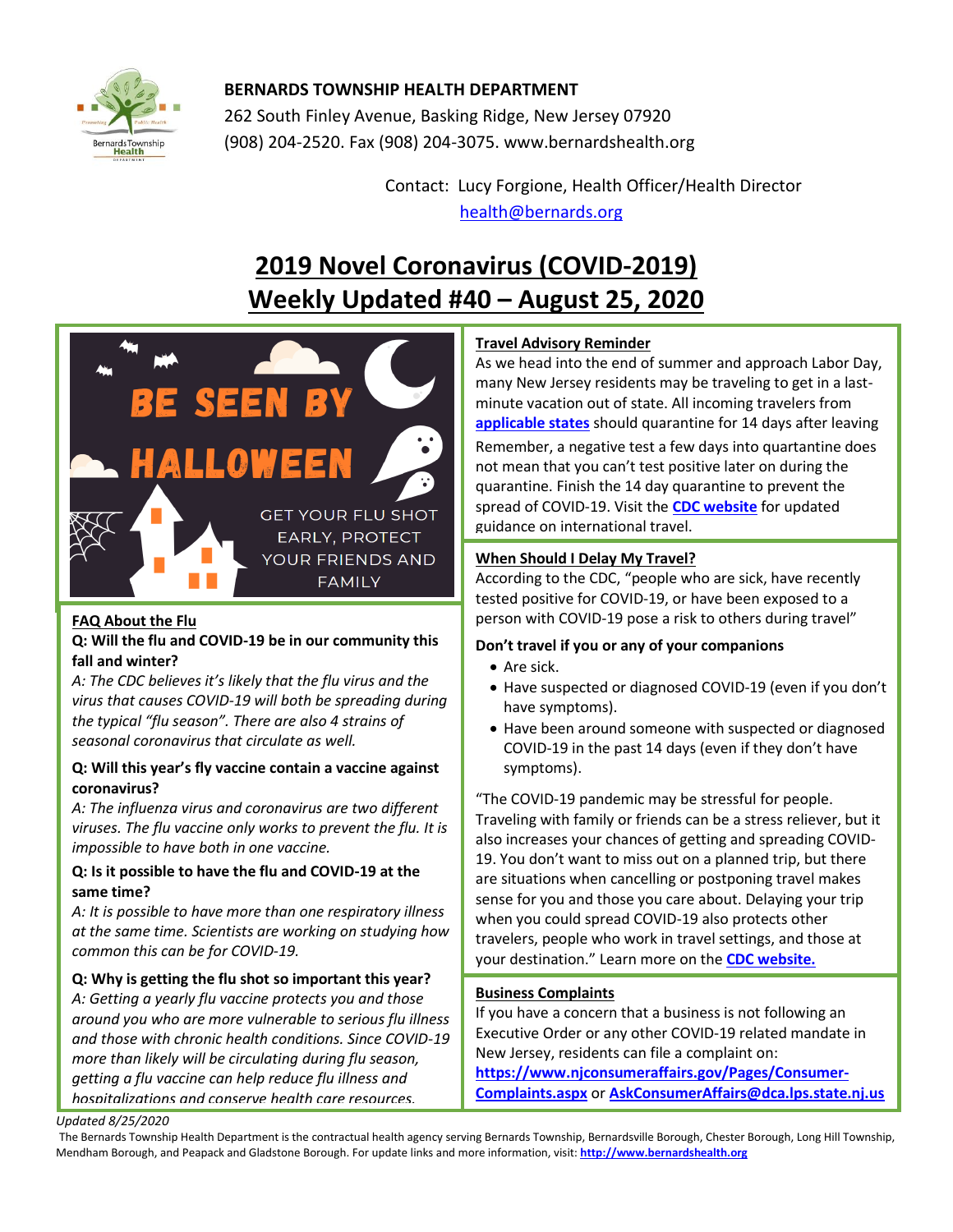

## **BERNARDS TOWNSHIP HEALTH DEPARTMENT**

262 South Finley Avenue, Basking Ridge, New Jersey 07920 (908) 204-2520. Fax (908) 204-3075[. www.bernardshealth.org](http://www.bernardshealth.org/)

> Contact: Lucy Forgione, Health Officer/Health Director [health@bernards.org](mailto:health@bernards.org)

# **2019 Novel Coronavirus (COVID-2019) Weekly Updated #40 – August 25, 2020**



#### **FAQ About the Flu**

#### **Q: Will the flu and COVID-19 be in our community this fall and winter?**

*A: The CDC believes it's likely that the flu virus and the virus that causes COVID-19 will both be spreading during the typical "flu season". There are also 4 strains of seasonal coronavirus that circulate as well.*

#### **Q: Will this year's fly vaccine contain a vaccine against coronavirus?**

*A: The influenza virus and coronavirus are two different viruses. The flu vaccine only works to prevent the flu. It is impossible to have both in one vaccine.*

#### **Q: Is it possible to have the flu and COVID-19 at the same time?**

*A: It is possible to have more than one respiratory illness at the same time. Scientists are working on studying how common this can be for COVID-19.* 

## **Q: Why is getting the flu shot so important this year?**

*A: Getting a yearly flu vaccine protects you and those around you who are more vulnerable to serious flu illness and those with chronic health conditions. Since COVID-19 more than likely will be circulating during flu season, getting a flu vaccine can help reduce flu illness and hospitalizations and conserve health care resources.* 

## **Travel Advisory Reminder**

As we head into the end of summer and approach Labor Day, many New Jersey residents may be traveling to get in a lastminute vacation out of state. All incoming travelers from **[applicable states](https://covid19.nj.gov/faqs/nj-information/travel-and-transportation/which-states-are-on-the-travel-advisory-list-are-there-travel-restrictions-to-or-from-new-jersey#direct-link)** should quarantine for 14 days after leaving Remember, a negative test a few days into quartantine does not mean that you can't test positive later on during the quarantine. Finish the 14 day quarantine to prevent the spread of COVID-19. Visit the **[CDC website](https://www.cdc.gov/coronavirus/2019-ncov/travelers/after-travel-precautions.html)** for updated guidance on international travel.

#### **When Should I Delay My Travel?**

According to the CDC, "people who are sick, have recently tested positive for COVID-19, or have been exposed to a person with COVID-19 pose a risk to others during travel"

#### **Don't travel if you or any of your companions**

- Are sick.
- Have suspected or diagnosed COVID-19 (even if you don't have symptoms).
- Have been around someone with suspected or diagnosed COVID-19 in the past 14 days (even if they don't have symptoms).

"The COVID-19 pandemic may be stressful for people. Traveling with family or friends can be a stress reliever, but it also increases your chances of getting and spreading COVID-19. You don't want to miss out on a planned trip, but there are situations when cancelling or postponing travel makes sense for you and those you care about. Delaying your trip when you could spread COVID-19 also protects other travelers, people who work in travel settings, and those at your destination." Learn more on the **CDC [website.](https://www.cdc.gov/coronavirus/2019-ncov/travelers/when-to-delay-travel.html)**

#### **Business Complaints**

If you have a concern that a business is not following an Executive Order or any other COVID-19 related mandate in New Jersey, residents can file a complaint on:

**[https://www.njconsumeraffairs.gov/Pages/Consumer-](https://www.njconsumeraffairs.gov/Pages/Consumer-Complaints.aspx)[Complaints.aspx](https://www.njconsumeraffairs.gov/Pages/Consumer-Complaints.aspx)** or **[AskConsumerAffairs@dca.lps.state.nj.us](mailto:AskConsumerAffairs@dca.lps.state.nj.us)**

*Updated 8/25/2020* 

The Bernards Township Health Department is the contractual health agency serving Bernards Township, Bernardsville Borough, Chester Borough, Long Hill Township, Mendham Borough, and Peapack and Gladstone Borough. For update links and more information, visit: **[http://www.bernardshealth.org](http://www.bernardshealth.org/)**